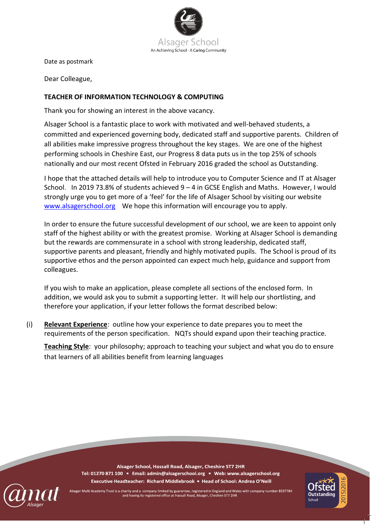

Date as postmark

Dear Colleague,

## **TEACHER OF INFORMATION TECHNOLOGY & COMPUTING**

Thank you for showing an interest in the above vacancy.

Alsager School is a fantastic place to work with motivated and well-behaved students, a committed and experienced governing body, dedicated staff and supportive parents. Children of all abilities make impressive progress throughout the key stages. We are one of the highest performing schools in Cheshire East, our Progress 8 data puts us in the top 25% of schools nationally and our most recent Ofsted in February 2016 graded the school as Outstanding.

I hope that the attached details will help to introduce you to Computer Science and IT at Alsager School. In 2019 73.8% of students achieved 9 – 4 in GCSE English and Maths. However, I would strongly urge you to get more of a 'feel' for the life of Alsager School by visiting our website [www.alsagerschool.org](http://www.alsagerschool.org/) We hope this information will encourage you to apply.

In order to ensure the future successful development of our school, we are keen to appoint only staff of the highest ability or with the greatest promise. Working at Alsager School is demanding but the rewards are commensurate in a school with strong leadership, dedicated staff, supportive parents and pleasant, friendly and highly motivated pupils. The School is proud of its supportive ethos and the person appointed can expect much help, guidance and support from colleagues.

If you wish to make an application, please complete all sections of the enclosed form. In addition, we would ask you to submit a supporting letter. It will help our shortlisting, and therefore your application, if your letter follows the format described below:

(i) **Relevant Experience**: outline how your experience to date prepares you to meet the requirements of the person specification. NQTs should expand upon their teaching practice.

**Teaching Style**: your philosophy; approach to teaching your subject and what you do to ensure that learners of all abilities benefit from learning languages